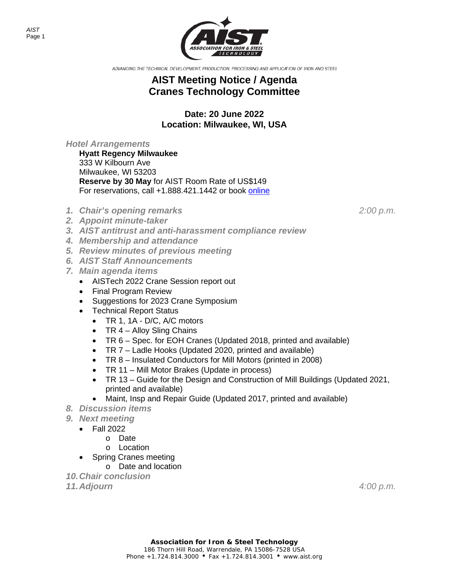*AIST* Page 1



ADVANCING THE TECHNICAL DEVELOPMENT, PRODUCTION, PROCESSING AND APPLICATION OF IRON AND STEEL

## **AIST Meeting Notice / Agenda Cranes Technology Committee**

**Date: 20 June 2022 Location: Milwaukee, WI, USA**

*Hotel Arrangements*

**Hyatt Regency Milwaukee** 333 W Kilbourn Ave Milwaukee, WI 53203 **Reserve by 30 May** for AIST Room Rate of US\$149 For reservations, call +1.888.421.1442 or book [online](https://www.hyatt.com/en-US/group-booking/MKERM/G-AIST)

- *1. Chair's opening remarks 2:00 p.m.*
- *2. Appoint minute-taker*
- *3. AIST antitrust and anti-harassment compliance review*
- *4. Membership and attendance*
- *5. Review minutes of previous meeting*
- *6. AIST Staff Announcements*
- *7. Main agenda items*
	- AISTech 2022 Crane Session report out
	- Final Program Review
	- Suggestions for 2023 Crane Symposium
	- Technical Report Status
		- TR 1, 1A D/C, A/C motors
		- TR 4 Alloy Sling Chains
		- TR 6 Spec. for EOH Cranes (Updated 2018, printed and available)
		- TR 7 Ladle Hooks (Updated 2020, printed and available)
		- TR 8 Insulated Conductors for Mill Motors (printed in 2008)
		- TR 11 Mill Motor Brakes (Update in process)
		- TR 13 Guide for the Design and Construction of Mill Buildings (Updated 2021, printed and available)
		- Maint, Insp and Repair Guide (Updated 2017, printed and available)
- *8. Discussion items*
- *9. Next meeting*
	- Fall 2022
		- o Date
		- o Location
		- Spring Cranes meeting
			- o Date and location
- *10.Chair conclusion*

*11.Adjourn 4:00 p.m.*